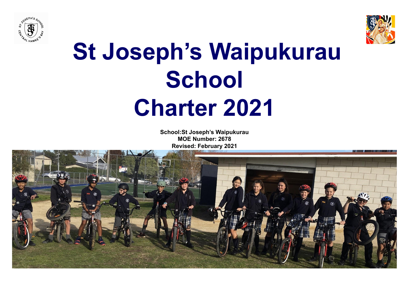



# **St Joseph's Waipukurau School Charter 2021**

**School:St Joseph's Waipukurau MOE Number: 2678 Revised: February 2021**

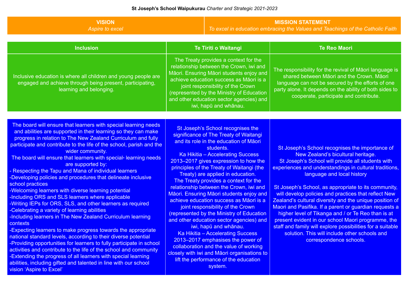### **VISION** *Aspire to excel*

## **MISSION STATEMENT**

*To excel in education embracing the Values and Teachings of the Catholic Faith*

| <b>Inclusion</b>                                                                                                                                                                                                                                                                                                                                                                                                                                                                                                                                                                                                                                                                                                                                                                                                                                                                                                                                                                                                                                                                                                                                                                                                                                                                  | <b>Te Tiriti o Waitangi</b>                                                                                                                                                                                                                                                                                                                                                                                                                                                                                                                                                                                                                                                                                                                                                                                                                                 | <b>Te Reo Maori</b>                                                                                                                                                                                                                                                                                                                                                                                                                                                                                                                                                                                                                                                                                                           |
|-----------------------------------------------------------------------------------------------------------------------------------------------------------------------------------------------------------------------------------------------------------------------------------------------------------------------------------------------------------------------------------------------------------------------------------------------------------------------------------------------------------------------------------------------------------------------------------------------------------------------------------------------------------------------------------------------------------------------------------------------------------------------------------------------------------------------------------------------------------------------------------------------------------------------------------------------------------------------------------------------------------------------------------------------------------------------------------------------------------------------------------------------------------------------------------------------------------------------------------------------------------------------------------|-------------------------------------------------------------------------------------------------------------------------------------------------------------------------------------------------------------------------------------------------------------------------------------------------------------------------------------------------------------------------------------------------------------------------------------------------------------------------------------------------------------------------------------------------------------------------------------------------------------------------------------------------------------------------------------------------------------------------------------------------------------------------------------------------------------------------------------------------------------|-------------------------------------------------------------------------------------------------------------------------------------------------------------------------------------------------------------------------------------------------------------------------------------------------------------------------------------------------------------------------------------------------------------------------------------------------------------------------------------------------------------------------------------------------------------------------------------------------------------------------------------------------------------------------------------------------------------------------------|
| Inclusive education is where all children and young people are<br>engaged and achieve through being present, participating,<br>learning and belonging.                                                                                                                                                                                                                                                                                                                                                                                                                                                                                                                                                                                                                                                                                                                                                                                                                                                                                                                                                                                                                                                                                                                            | The Treaty provides a context for the<br>relationship between the Crown, iwi and<br>Māori. Ensuring Māori students enjoy and<br>achieve education success as Māori is a<br>joint responsibility of the Crown<br>(represented by the Ministry of Education<br>and other education sector agencies) and<br>iwi, hapū and whānau.                                                                                                                                                                                                                                                                                                                                                                                                                                                                                                                              | The responsibility for the revival of Māori language is<br>shared between Māori and the Crown. Māori<br>language can not be secured by the efforts of one<br>party alone. It depends on the ability of both sides to<br>cooperate, participate and contribute.                                                                                                                                                                                                                                                                                                                                                                                                                                                                |
|                                                                                                                                                                                                                                                                                                                                                                                                                                                                                                                                                                                                                                                                                                                                                                                                                                                                                                                                                                                                                                                                                                                                                                                                                                                                                   |                                                                                                                                                                                                                                                                                                                                                                                                                                                                                                                                                                                                                                                                                                                                                                                                                                                             |                                                                                                                                                                                                                                                                                                                                                                                                                                                                                                                                                                                                                                                                                                                               |
| The board will ensure that learners with special learning needs<br>and abilities are supported in their learning so they can make<br>progress in relation to The New Zealand Curriculum and fully<br>participate and contribute to the life of the school, parish and the<br>wider community.<br>The board will ensure that learners with special-learning needs<br>are supported by:<br>Respecting the Tapu and Mana of individual learners<br>-Developing policies and procedures that delineate inclusive<br>school practices<br>-Welcoming learners with diverse learning potential<br>Including ORS and SLS learners where applicable<br>-Writing IEPs for ORS, SLS, and other learners as required<br>-Celebrating a variety of learning abilities<br>Including learners in The New Zealand Curriculum learning<br>contexts<br>-Expecting learners to make progress towards the appropriate<br>national standard levels, according to their diverse potential<br>-Providing opportunities for learners to fully participate in school<br>activities and contribute to the life of the school and community<br>-Extending the progress of all learners with special learning<br>abilities, including gifted and talented in line with our school<br>vision 'Aspire to Excel' | St Joseph's School recognises the<br>significance of The Treaty of Waitangi<br>and its role in the education of Māori<br>students.<br>Ka Hikitia - Accelerating Success<br>2013-2017 gives expression to how the<br>principles of the Treaty of Waitangi (the<br>Treaty) are applied in education.<br>The Treaty provides a context for the<br>relationship between the Crown, iwi and<br>Māori. Ensuring Māori students enjoy and<br>achieve education success as Māori is a<br>joint responsibility of the Crown<br>(represented by the Ministry of Education<br>and other education sector agencies) and<br>iwi, hapū and whānau.<br>Ka Hikitia - Accelerating Success<br>2013-2017 emphasises the power of<br>collaboration and the value of working<br>closely with iwi and Māori organisations to<br>lift the performance of the education<br>system. | St Joseph's School recognises the importance of<br>New Zealand's bicultural heritage.<br>St Joseph's School will provide all students with<br>experiences and understandings in cultural traditions.<br>language and local history<br>St Joseph's School, as appropriate to its community,<br>will develop policies and practices that reflect New<br>Zealand's cultural diversity and the unique position of<br>Maori and Pasifika. If a parent or guardian requests a<br>higher level of Tikanga and / or Te Reo than is at<br>present evident in our school Maori programme, the<br>staff and family will explore possibilities for a suitable<br>solution. This will include other schools and<br>correspondence schools. |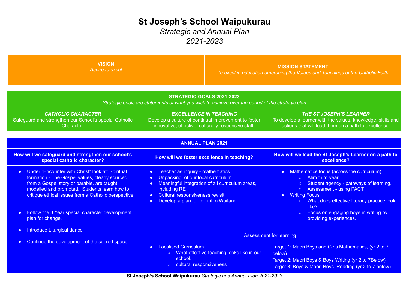# **St Joseph's School Waipukurau**

## *Strategic and Annual Plan 2021-2023*

| <b>VISION</b><br>Aspire to excel                                                                                                                                                                                                                                       |                                                                                                                                                                                                                                                                                         |                                                                   | <b>MISSION STATEMENT</b><br>To excel in education embracing the Values and Teachings of the Catholic Faith                                                                                                                                                           |
|------------------------------------------------------------------------------------------------------------------------------------------------------------------------------------------------------------------------------------------------------------------------|-----------------------------------------------------------------------------------------------------------------------------------------------------------------------------------------------------------------------------------------------------------------------------------------|-------------------------------------------------------------------|----------------------------------------------------------------------------------------------------------------------------------------------------------------------------------------------------------------------------------------------------------------------|
| <b>CATHOLIC CHARACTER</b>                                                                                                                                                                                                                                              | Strategic goals are statements of what you wish to achieve over the period of the strategic plan                                                                                                                                                                                        | <b>STRATEGIC GOALS 2021-2023</b><br><b>EXCELLENCE IN TEACHING</b> | <b>THE ST JOSEPH'S LEARNER</b>                                                                                                                                                                                                                                       |
| Safeguard and strengthen our School's special Catholic<br>Character.                                                                                                                                                                                                   | Develop a culture of continual improvement to foster<br>innovative, effective, culturally responsive staff.                                                                                                                                                                             |                                                                   | To develop a learner with the values, knowledge, skills and<br>actions that will lead them on a path to excellence.                                                                                                                                                  |
| <b>ANNUAL PLAN 2021</b>                                                                                                                                                                                                                                                |                                                                                                                                                                                                                                                                                         |                                                                   |                                                                                                                                                                                                                                                                      |
| How will we safeguard and strengthen our school's<br>special catholic character?                                                                                                                                                                                       | How will we foster excellence in teaching?                                                                                                                                                                                                                                              |                                                                   | How will we lead the St Joseph's Learner on a path to<br>excellence?                                                                                                                                                                                                 |
| Under "Encounter with Christ" look at: Spiritual<br>$\bullet$<br>formation - The Gospel values, clearly sourced<br>from a Gospel story or parable, are taught,<br>modelled and promoted. Students learn how to<br>critique ethical issues from a Catholic perspective. | Teacher as inquiry - mathematics<br>$\bullet$<br>Unpacking of our local curriculum<br>$\bullet$<br>Meaningful integration of all curriculum areas,<br>$\bullet$<br>including RE<br>Cultural responsiveness revisit<br>$\bullet$<br>Develop a plan for te Tiriti o Waitangi<br>$\bullet$ |                                                                   | Mathematics focus (across the curriculum)<br>$\bullet$<br>Alim third year.<br>O<br>Student agency - pathways of learning.<br><b>Assessment - using PACT</b><br>$\circ$<br><b>Writing Focus</b><br>$\bullet$<br>o What does effective literacy practice look<br>like? |
| Follow the 3 Year special character development<br>$\bullet$<br>plan for change.                                                                                                                                                                                       |                                                                                                                                                                                                                                                                                         |                                                                   | ○ Focus on engaging boys in writing by<br>providing experiences.                                                                                                                                                                                                     |
| Introduce Liturgical dance<br>$\bullet$                                                                                                                                                                                                                                |                                                                                                                                                                                                                                                                                         |                                                                   | <b>Assessment for learning</b>                                                                                                                                                                                                                                       |
| Continue the development of the sacred space<br>$\bullet$                                                                                                                                                                                                              | <b>Localised Curriculum</b><br>$\bullet$<br>o What effective teaching looks like in our<br>school.<br>o cultural responsiveness                                                                                                                                                         |                                                                   | Target 1: Maori Boys and Girls Mathematics, (yr 2 to 7<br>below)<br>Target 2: Maori Boys & Boys Writing (yr 2 to 7Below)<br>Target 3: Boys & Maori Boys Reading (yr 2 to 7 below)                                                                                    |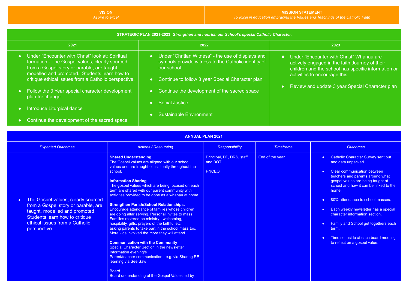**VISION**

#### **MISSION STATEMENT** *To excel in education embracing the Values and Teachings of the Catholic Faith*

| STRATEGIC PLAN 2021-2023: Strengthen and nourish our School's special Catholic Character.                                                                                                                                                                   |                                                                                                                                                                                  |                                                                                                                                                                                      |  |  |
|-------------------------------------------------------------------------------------------------------------------------------------------------------------------------------------------------------------------------------------------------------------|----------------------------------------------------------------------------------------------------------------------------------------------------------------------------------|--------------------------------------------------------------------------------------------------------------------------------------------------------------------------------------|--|--|
| 2021                                                                                                                                                                                                                                                        | 2022                                                                                                                                                                             | 2023                                                                                                                                                                                 |  |  |
| • Under "Encounter with Christ" look at: Spiritual<br>formation - The Gospel values, clearly sourced<br>from a Gospel story or parable, are taught,<br>modelled and promoted. Students learn how to<br>critique ethical issues from a Catholic perspective. | • Under "Chritian Witness" - the use of displays and<br>symbols provide witness to the Catholic identity of<br>our school.<br>• Continue to follow 3 year Special Character plan | • Under "Encounter with Christ" Whanau are<br>actively engaged in the faith Journey of their<br>children and the school has specific information or<br>activities to encourage this. |  |  |
| • Follow the 3 Year special character development<br>plan for change.                                                                                                                                                                                       | Continue the development of the sacred space<br>Social Justice                                                                                                                   | Review and update 3 year Special Character plan                                                                                                                                      |  |  |
| Introduce Liturgical dance<br>Continue the development of the sacred space                                                                                                                                                                                  | Sustainable Environment                                                                                                                                                          |                                                                                                                                                                                      |  |  |

|  | <b>ANNUAL PLAN 2021</b> |  |
|--|-------------------------|--|
|  |                         |  |

| <b>Expected Outcomes</b>                                                                                                                                                                        | <b>Actions / Resourcing</b>                                                                                                                                                                                                                                                                                                                                                                                                                                                                                                                                                                                                                                                                                                                                                                                                                                                                                                                                                       | <b>Responsibility</b>                                | <b>Timeframe</b> | Outcomes.                                                                                                                                                                                                                                                                                                                                                                                                                                                                                      |
|-------------------------------------------------------------------------------------------------------------------------------------------------------------------------------------------------|-----------------------------------------------------------------------------------------------------------------------------------------------------------------------------------------------------------------------------------------------------------------------------------------------------------------------------------------------------------------------------------------------------------------------------------------------------------------------------------------------------------------------------------------------------------------------------------------------------------------------------------------------------------------------------------------------------------------------------------------------------------------------------------------------------------------------------------------------------------------------------------------------------------------------------------------------------------------------------------|------------------------------------------------------|------------------|------------------------------------------------------------------------------------------------------------------------------------------------------------------------------------------------------------------------------------------------------------------------------------------------------------------------------------------------------------------------------------------------------------------------------------------------------------------------------------------------|
| The Gospel values, clearly sourced<br>from a Gospel story or parable, are<br>taught, modelled and promoted.<br>Students learn how to critique<br>ethical issues from a Catholic<br>perspective. | <b>Shared Understanding</b><br>The Gospel values are aligned with our school<br>values and are traught consistently throughout the<br>school.<br><b>Information Sharing</b><br>The gospel values which are being focused on each<br>term are shared with our parent community with<br>activities provided to be done as a whanau at home.<br><b>Strengthen Parish/School Relationships.</b><br>Encourage attendance of families whose children<br>are doing altar serving. Personal invites to mass.<br>Families rostered on ministry - welcoming,<br>hospitality, gifts, prayers of the faithful etc<br>asking parents to take part in the school mass too.<br>More kids involved the more they will attend.<br><b>Communication with the Community</b><br>Special Character Section in the newsletter<br>Information evening/s<br>Parent/teacher communication - e.g. via Sharing RE<br>learning via See Saw<br><b>Board</b><br>Board understanding of the Gospel Values led by | Principal, DP, DRS, staff<br>and BOT<br><b>PNCEO</b> | End of the year  | • Catholic Character Survey sent out<br>and data unpacked.<br>Clear communication between<br>teachers and parents around what<br>gospel values are being taught at<br>school and how it can be linked to the<br>home.<br>80% attendance to school masses.<br>Each weekly newsletter has a special<br>$\bullet$<br>character information section.<br><b>Family and School get togethers each</b><br>$\bullet$<br>term.<br>Time set aside at each board meeting<br>to reflect on a gospel value. |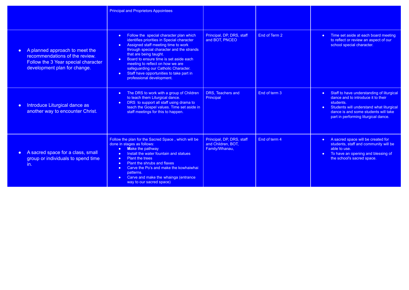|                                                                                                                                                      | <b>Principal and Proprietors Appointees</b>                                                                                                                                                                                                                                                                                                                                                                                                              |                                                                   |               |                                                                                                                                                                                                                                         |
|------------------------------------------------------------------------------------------------------------------------------------------------------|----------------------------------------------------------------------------------------------------------------------------------------------------------------------------------------------------------------------------------------------------------------------------------------------------------------------------------------------------------------------------------------------------------------------------------------------------------|-------------------------------------------------------------------|---------------|-----------------------------------------------------------------------------------------------------------------------------------------------------------------------------------------------------------------------------------------|
| A planned approach to meet the<br>$\bullet$<br>recommendations of the review.<br>Follow the 3 Year special character<br>development plan for change. | Follow the special character plan which<br>$\bullet$<br>identifies priorities in Special character<br>Assigned staff meeting time to work<br>$\bullet$<br>through special character and the strands<br>that are being taught.<br>Board to ensure time is set aside each<br>$\bullet$<br>meeting to reflect on how we are<br>safeguarding our Catholic Character.<br>Staff have opportunities to take part in<br>$\bullet$ .<br>professional development. | Principal, DP, DRS, staff<br>and BOT, PNCEO                       | End of Term 2 | • Time set aside at each board meeting<br>to reflect or review an aspect of our<br>school special character.                                                                                                                            |
| Introduce Liturgical dance as<br>$\bullet$<br>another way to encounter Christ.                                                                       | The DRS to work with a group of Children<br>$\bullet$ .<br>to teach them Liturgical dance.<br>DRS to support all staff using drama to<br>$\bullet$ .<br>teach the Gospel values. Time set aside in<br>staff meetings for this to happen.                                                                                                                                                                                                                 | DRS. Teachers and<br>Principal                                    | End of term 3 | Staff to have understanding of liturgical<br>$\bullet$<br>dance and to introduce it to their<br>students.<br>• Students will understand what liturgical<br>dance is and some students will take<br>part in performing liturgical dance. |
| A sacred space for a class, small<br>$\bullet$<br>group or individuals to spend time<br>in.                                                          | Follow the plan for the Sacred Space, which will be<br>done in stages as follows:<br>Make the pathway<br>$\bullet$<br>Install the water fountain and statues<br>$\bullet$<br><b>Plant the trees</b><br>$\bullet$<br><b>Plant the shrubs and flaxes</b><br>$\bullet$<br>Carve the Po's and make the kowhaiwhai<br>$\bullet$<br>patterns.<br>Carve and make the whainga (entrance<br>way to our sacred space)                                              | Principal, DP, DRS, staff<br>and Children, BOT,<br>Family/Whanau, | End of term 4 | A sacred space will be created for<br>$\bullet$ .<br>students, staff and community will be<br>able to use.<br>To have an opening and blessing of<br>$\bullet$<br>the school's sacred space.                                             |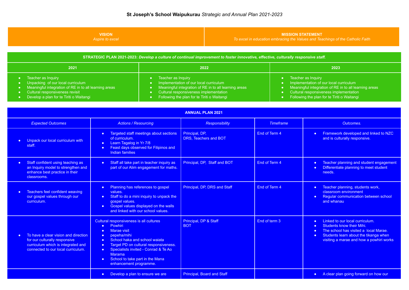| <b>/ISION</b>    | <b>MISSION STATEMENT</b>                                                            |
|------------------|-------------------------------------------------------------------------------------|
| Aspire to excel. | To excel in education embracing the Values and Teachings of the Catholic Faith $\,$ |
|                  |                                                                                     |

| STRATEGIC PLAN 2021-2023: Develop a culture of continual improvement to foster innovative, effective, culturally responsive staff.                                                             |                                                                                                                                                                                                                |                                                                                                                                                                                                                |  |
|------------------------------------------------------------------------------------------------------------------------------------------------------------------------------------------------|----------------------------------------------------------------------------------------------------------------------------------------------------------------------------------------------------------------|----------------------------------------------------------------------------------------------------------------------------------------------------------------------------------------------------------------|--|
| 2021                                                                                                                                                                                           | 2022                                                                                                                                                                                                           | 2023                                                                                                                                                                                                           |  |
| Teacher as Inquiry<br>Unpacking of our local curriculum<br>Meaningful integration of RE in to all learning areas<br>Cultural responsiveness revisit<br>Develop a plan for te Tiriti o Waitangi | Teacher as Inquiry<br>Implementation of our local curriculum<br>Meaningful integration of RE in to all learning areas<br>Cultural responsiveness implementation<br>Following the plan for te Tiriti o Waitangi | Teacher as Inquiry<br>Implementation of our local curriculum<br>Meaningful integration of RE in to all learning areas<br>Cultural responsiveness implementation<br>Following the plan for te Tiriti o Waitangi |  |

| <b>ANNUAL PLAN 2021</b>                                                                                                                                        |                                                                                                                                                                                                                                                                                                                                                                  |                                         |                  |                                                                                                                                                                                                                                                |
|----------------------------------------------------------------------------------------------------------------------------------------------------------------|------------------------------------------------------------------------------------------------------------------------------------------------------------------------------------------------------------------------------------------------------------------------------------------------------------------------------------------------------------------|-----------------------------------------|------------------|------------------------------------------------------------------------------------------------------------------------------------------------------------------------------------------------------------------------------------------------|
| <b>Expected Outcomes</b>                                                                                                                                       | <b>Actions / Resourcing</b>                                                                                                                                                                                                                                                                                                                                      | <b>Responsibility</b>                   | <b>Timeframe</b> | Outcomes.                                                                                                                                                                                                                                      |
| Unpack our local curriculum with<br>staff.                                                                                                                     | <b>Targeted staff meetings about sections</b><br>$\bullet$<br>of curriculum.<br>Learn Tagalog in Yr 7/8<br>$\bullet$<br><b>Feast days observed for Filipinos and</b><br>$\bullet$<br>Indian families                                                                                                                                                             | Principal, DP,<br>DRS. Teachers and BOT | End of Term 4    | <b>Framework developed and linked to NZC</b><br>$\bullet$<br>and is culturally responsive.                                                                                                                                                     |
| Staff confident using teaching as<br>$\bullet$<br>an Inquiry model to strengthen and<br>enhance best practice in their<br>classrooms.                          | Staff all take part in teacher inquiry as<br>$\bullet$ .<br>part of our Alim engagement for maths.                                                                                                                                                                                                                                                               | Principal, DP, Staff and BOT            | End of Term 4    | Teacher planning and student engagement<br>$\bullet$<br>Differentiate planning to meet student<br>$\bullet$<br>needs.                                                                                                                          |
| Teachers feel confident weaving<br>our gospel values through our<br>curriculum.                                                                                | Planning has references to gospel<br>$\bullet$ .<br>values.<br>Staff to do a mini inquiry to unpack the<br>$\bullet$<br>gospel values.<br>Gospel values displayed on the walls<br>$\bullet$<br>and linked with our school values.                                                                                                                                | Principal, DP, DRS and Staff            | End of Term 4    | Teacher planning, students work,<br>$\bullet$<br>classroom environment<br>Regular communication between school<br>$\bullet$<br>and whanau                                                                                                      |
| To have a clear vision and direction<br>$\bullet$<br>for our culturally responsive<br>curriculum which is integrated and<br>connected to our local curriculum. | Cultural responsiveness is all cultures<br>Powhiri<br>$\bullet$<br><b>Marae visit</b><br>$\bullet$<br>pepeha/mihi<br>$\bullet$<br>School haka and school waiata<br>$\bullet$<br>Target PD on cultural responsiveness.<br>Specialists invited - Conrad & Te Ao<br>$\bullet$<br>Marama<br>School to take part in the Mana<br>$\bullet$ .<br>enhancement programme. | Principal, DP & Staff<br><b>BOT</b>     | End of term 3    | Linked to our local curriculum.<br>$\bullet$<br>Students know their Mihi.<br>$\bullet$<br>The school has visited a local Marae.<br>$\bullet$<br>Students learn about the tikanga when<br>$\bullet$<br>visiting a marae and how a powhiri works |
|                                                                                                                                                                | Develop a plan to ensure we are<br>$\bullet$                                                                                                                                                                                                                                                                                                                     | Principal, Board and Staff              |                  | • A clear plan going forward on how our                                                                                                                                                                                                        |

<u> La Carlo de la Ca</u>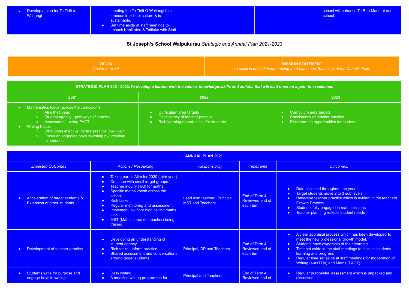| ٠ | Develop a plan for Te Tiriti o |
|---|--------------------------------|
|   | Waitangi                       |

- meeting the Te Tiriti O Waitangi that embeds in school culture & is sustainable.
- Set time aside at staff meetings to unpack Kahikatea & Taitiako with Staff

school will enhance Te Reo Maori at our school.

**St Joseph's School Waipukurau** *Strategic and Annual Plan 2021-2023*

**VISION** *Aspire to excel*

#### **MISSION STATEMENT**

*To excel in education embracing the Values and Teachings of the Catholic Faith*

| STRATEGIC PLAN 2021-2023: To develop a learner with the values, knowledge, skills and actions that will lead them on a path to excellence.                                                                                                                                       |                                                                                                        |                                                                                                        |  |  |
|----------------------------------------------------------------------------------------------------------------------------------------------------------------------------------------------------------------------------------------------------------------------------------|--------------------------------------------------------------------------------------------------------|--------------------------------------------------------------------------------------------------------|--|--|
| 2021                                                                                                                                                                                                                                                                             | 2022                                                                                                   | 2023                                                                                                   |  |  |
| Mathematics focus (across the curriculum)<br>Alim third year.<br>Student agency - pathways of learning.<br>Assessment - using PACT<br><b>Writing Focus</b><br>What does effective literacy practice look like?<br>Focus on engaging boys in writing by providing<br>experiences. | Curriculum area targets<br>Consistency of teacher practice<br>Rich learning opportunities for students | Curriculum area targets<br>Consistency of teacher practice<br>Rich learning opportunities for students |  |  |

| <b>ANNUAL PLAN 2021</b>                                               |                                                                                                                                                                                                                                                                                                                                                                                                                                         |                                                          |                                               |                                                                                                                                                                                                                                                                                                                                                                                             |
|-----------------------------------------------------------------------|-----------------------------------------------------------------------------------------------------------------------------------------------------------------------------------------------------------------------------------------------------------------------------------------------------------------------------------------------------------------------------------------------------------------------------------------|----------------------------------------------------------|-----------------------------------------------|---------------------------------------------------------------------------------------------------------------------------------------------------------------------------------------------------------------------------------------------------------------------------------------------------------------------------------------------------------------------------------------------|
| <b>Expected Outcomes</b>                                              | <b>Actions / Resourcing</b>                                                                                                                                                                                                                                                                                                                                                                                                             | <b>Responsibility</b>                                    | <b>Timeframe</b>                              | Outcomes.                                                                                                                                                                                                                                                                                                                                                                                   |
| Acceleration of target students &<br>Extension of other students.     | Taking part in Alim for 2020 (third year)<br>$\bullet$<br>Continue with small target groups<br>$\bullet$<br>Teacher inquiry (TAI) for maths<br>$\bullet$<br>Specific maths vocab across the<br>$\bullet$<br>school<br><b>Rich fasks</b><br>$\bullet$<br>Regular monitoring and assessment<br>$\bullet$<br>Implement low floor high ceiling maths<br>$\bullet$<br>tasks<br>MST (Maths specialist teacher) being<br>$\bullet$<br>trained. | Lead Alim teacher, Principal,<br><b>MST and Teachers</b> | End of Term 4<br>Reviewed end of<br>each term | Data collected throughout the year<br>$\bullet$<br>Target students move 2 to 3 sub levels.<br>$\bullet$<br>Reflective teacher practice which is evident in the teachers<br>$\bullet$<br><b>Growth Practice.</b><br>Students fully engaged in math sessions<br>$\bullet$<br>Teacher planning reflects student needs<br>$\bullet$                                                             |
| Development of teacher practice.                                      | Developing an understanding of<br>$\bullet$<br>student agency.<br>Rich tasks - inform practice<br>$\bullet$<br>Shared assessment and conversations<br>$\bullet$<br>around target students.                                                                                                                                                                                                                                              | Principal, DP and Teachers.                              | End of Term 4<br>Reviewed end of<br>each term | A clear appraisal process which has been developed to<br>$\bullet$<br>meet the new professional growth model.<br>Students have ownership of their learning<br>$\bullet$<br>Time set aside in the staff meetings to discuss students<br>$\bullet$<br>learning and progress<br>Regular time set aside at staff meetings for moderation of<br>$\bullet$<br>Writing (e-asTTle) and Maths (PACT) |
| Students write for purpose and<br>$\bullet$<br>engage boys in writing | Daily writing<br>$\bullet$<br>A modified writing programme for                                                                                                                                                                                                                                                                                                                                                                          | <b>Principal and Teachers</b>                            | End of Term 4<br>Reviewed end of              | Regular purposeful assessment which is unpacked and<br>$\bullet$<br>discussed.                                                                                                                                                                                                                                                                                                              |